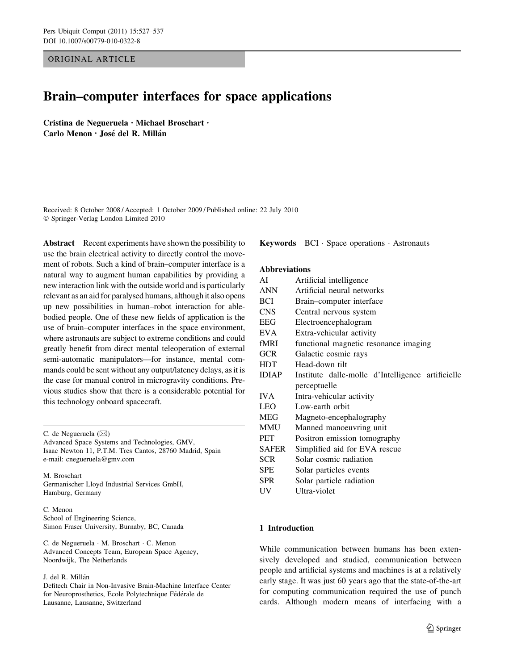ORIGINAL ARTICLE

# Brain–computer interfaces for space applications

Cristina de Negueruela • Michael Broschart • Carlo Menon · José del R. Millán

Received: 8 October 2008 / Accepted: 1 October 2009 / Published online: 22 July 2010 - Springer-Verlag London Limited 2010

Abstract Recent experiments have shown the possibility to use the brain electrical activity to directly control the movement of robots. Such a kind of brain–computer interface is a natural way to augment human capabilities by providing a new interaction link with the outside world and is particularly relevant as an aid for paralysed humans, although it also opens up new possibilities in human–robot interaction for ablebodied people. One of these new fields of application is the use of brain–computer interfaces in the space environment, where astronauts are subject to extreme conditions and could greatly benefit from direct mental teleoperation of external semi-automatic manipulators—for instance, mental commands could be sent without any output/latency delays, as it is the case for manual control in microgravity conditions. Previous studies show that there is a considerable potential for this technology onboard spacecraft.

C. de Negueruela  $(\boxtimes)$ 

Advanced Space Systems and Technologies, GMV, Isaac Newton 11, P.T.M. Tres Cantos, 28760 Madrid, Spain e-mail: cnegueruela@gmv.com

M. Broschart Germanischer Lloyd Industrial Services GmbH, Hamburg, Germany

C. Menon School of Engineering Science, Simon Fraser University, Burnaby, BC, Canada

C. de Negueruela - M. Broschart - C. Menon Advanced Concepts Team, European Space Agency, Noordwijk, The Netherlands

# J. del R. Millán

Defitech Chair in Non-Invasive Brain-Machine Interface Center for Neuroprosthetics, Ecole Polytechnique Fédérale de Lausanne, Lausanne, Switzerland

Keywords BCI - Space operations - Astronauts

#### Abbreviations

| AI           | Artificial intelligence                           |
|--------------|---------------------------------------------------|
| <b>ANN</b>   | Artificial neural networks                        |
| <b>BCI</b>   | Brain-computer interface                          |
| <b>CNS</b>   | Central nervous system                            |
| EEG          | Electroencephalogram                              |
| EVA          | Extra-vehicular activity                          |
| fMRI         | functional magnetic resonance imaging             |
| <b>GCR</b>   | Galactic cosmic rays                              |
| HDT          | Head-down tilt                                    |
| <b>IDIAP</b> | Institute dalle-molle d'Intelligence artificielle |
|              | perceptuelle                                      |
| <b>IVA</b>   | Intra-vehicular activity                          |
| LEO          | Low-earth orbit                                   |
| MEG          | Magneto-encephalography                           |
| <b>MMU</b>   | Manned manoeuvring unit                           |
| <b>PET</b>   | Positron emission tomography                      |
| <b>SAFER</b> | Simplified aid for EVA rescue                     |
| <b>SCR</b>   | Solar cosmic radiation                            |
| SPE.         | Solar particles events                            |
| SPR.         | Solar particle radiation                          |
| UV           | Ultra-violet                                      |
|              |                                                   |

# 1 Introduction

While communication between humans has been extensively developed and studied, communication between people and artificial systems and machines is at a relatively early stage. It was just 60 years ago that the state-of-the-art for computing communication required the use of punch cards. Although modern means of interfacing with a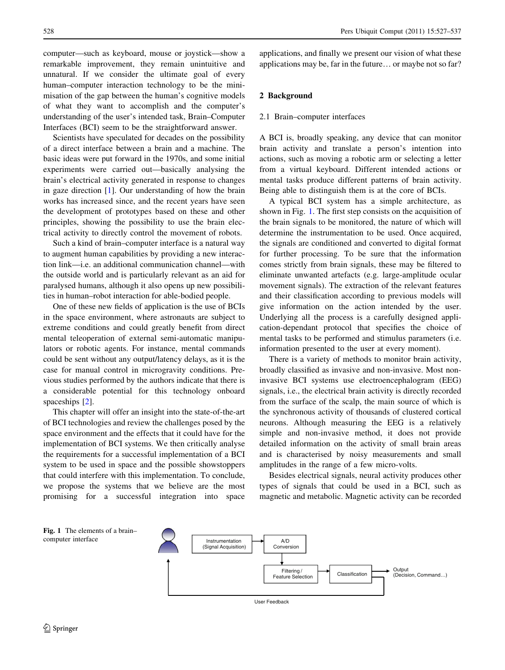computer—such as keyboard, mouse or joystick—show a remarkable improvement, they remain unintuitive and unnatural. If we consider the ultimate goal of every human–computer interaction technology to be the minimisation of the gap between the human's cognitive models of what they want to accomplish and the computer's understanding of the user's intended task, Brain–Computer Interfaces (BCI) seem to be the straightforward answer.

Scientists have speculated for decades on the possibility of a direct interface between a brain and a machine. The basic ideas were put forward in the 1970s, and some initial experiments were carried out—basically analysing the brain's electrical activity generated in response to changes in gaze direction [[1\]](#page-9-0). Our understanding of how the brain works has increased since, and the recent years have seen the development of prototypes based on these and other principles, showing the possibility to use the brain electrical activity to directly control the movement of robots.

Such a kind of brain–computer interface is a natural way to augment human capabilities by providing a new interaction link—i.e. an additional communication channel—with the outside world and is particularly relevant as an aid for paralysed humans, although it also opens up new possibilities in human–robot interaction for able-bodied people.

One of these new fields of application is the use of BCIs in the space environment, where astronauts are subject to extreme conditions and could greatly benefit from direct mental teleoperation of external semi-automatic manipulators or robotic agents. For instance, mental commands could be sent without any output/latency delays, as it is the case for manual control in microgravity conditions. Previous studies performed by the authors indicate that there is a considerable potential for this technology onboard spaceships [\[2](#page-9-0)].

This chapter will offer an insight into the state-of-the-art of BCI technologies and review the challenges posed by the space environment and the effects that it could have for the implementation of BCI systems. We then critically analyse the requirements for a successful implementation of a BCI system to be used in space and the possible showstoppers that could interfere with this implementation. To conclude, we propose the systems that we believe are the most promising for a successful integration into space applications, and finally we present our vision of what these applications may be, far in the future… or maybe not so far?

# 2 Background

#### 2.1 Brain–computer interfaces

A BCI is, broadly speaking, any device that can monitor brain activity and translate a person's intention into actions, such as moving a robotic arm or selecting a letter from a virtual keyboard. Different intended actions or mental tasks produce different patterns of brain activity. Being able to distinguish them is at the core of BCIs.

A typical BCI system has a simple architecture, as shown in Fig. 1. The first step consists on the acquisition of the brain signals to be monitored, the nature of which will determine the instrumentation to be used. Once acquired, the signals are conditioned and converted to digital format for further processing. To be sure that the information comes strictly from brain signals, these may be filtered to eliminate unwanted artefacts (e.g. large-amplitude ocular movement signals). The extraction of the relevant features and their classification according to previous models will give information on the action intended by the user. Underlying all the process is a carefully designed application-dependant protocol that specifies the choice of mental tasks to be performed and stimulus parameters (i.e. information presented to the user at every moment).

There is a variety of methods to monitor brain activity, broadly classified as invasive and non-invasive. Most noninvasive BCI systems use electroencephalogram (EEG) signals, i.e., the electrical brain activity is directly recorded from the surface of the scalp, the main source of which is the synchronous activity of thousands of clustered cortical neurons. Although measuring the EEG is a relatively simple and non-invasive method, it does not provide detailed information on the activity of small brain areas and is characterised by noisy measurements and small amplitudes in the range of a few micro-volts.

Besides electrical signals, neural activity produces other types of signals that could be used in a BCI, such as magnetic and metabolic. Magnetic activity can be recorded

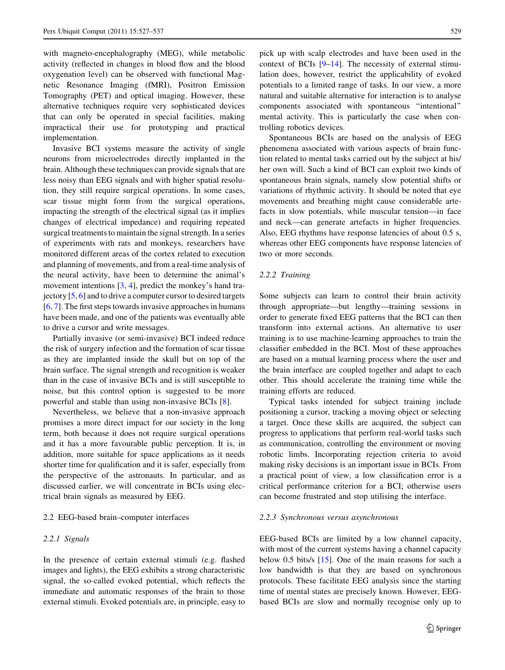with magneto-encephalography (MEG), while metabolic activity (reflected in changes in blood flow and the blood oxygenation level) can be observed with functional Magnetic Resonance Imaging (fMRI), Positron Emission Tomography (PET) and optical imaging. However, these alternative techniques require very sophisticated devices that can only be operated in special facilities, making impractical their use for prototyping and practical implementation.

Invasive BCI systems measure the activity of single neurons from microelectrodes directly implanted in the brain. Although these techniques can provide signals that are less noisy than EEG signals and with higher spatial resolution, they still require surgical operations. In some cases, scar tissue might form from the surgical operations, impacting the strength of the electrical signal (as it implies changes of electrical impedance) and requiring repeated surgical treatments to maintain the signal strength. In a series of experiments with rats and monkeys, researchers have monitored different areas of the cortex related to execution and planning of movements, and from a real-time analysis of the neural activity, have been to determine the animal's movement intentions [[3,](#page-9-0) [4\]](#page-9-0), predict the monkey's hand trajectory [[5,](#page-9-0) [6\]](#page-9-0) and to drive a computer cursor to desired targets [\[6](#page-9-0), [7\]](#page-9-0). The first steps towards invasive approaches in humans have been made, and one of the patients was eventually able to drive a cursor and write messages.

Partially invasive (or semi-invasive) BCI indeed reduce the risk of surgery infection and the formation of scar tissue as they are implanted inside the skull but on top of the brain surface. The signal strength and recognition is weaker than in the case of invasive BCIs and is still susceptible to noise, but this control option is suggested to be more powerful and stable than using non-invasive BCIs [[8\]](#page-9-0).

Nevertheless, we believe that a non-invasive approach promises a more direct impact for our society in the long term, both because it does not require surgical operations and it has a more favourable public perception. It is, in addition, more suitable for space applications as it needs shorter time for qualification and it is safer, especially from the perspective of the astronauts. In particular, and as discussed earlier, we will concentrate in BCIs using electrical brain signals as measured by EEG.

#### 2.2 EEG-based brain–computer interfaces

### 2.2.1 Signals

In the presence of certain external stimuli (e.g. flashed images and lights), the EEG exhibits a strong characteristic signal, the so-called evoked potential, which reflects the immediate and automatic responses of the brain to those external stimuli. Evoked potentials are, in principle, easy to pick up with scalp electrodes and have been used in the context of BCIs  $[9-14]$ . The necessity of external stimulation does, however, restrict the applicability of evoked potentials to a limited range of tasks. In our view, a more natural and suitable alternative for interaction is to analyse components associated with spontaneous ''intentional'' mental activity. This is particularly the case when controlling robotics devices.

Spontaneous BCIs are based on the analysis of EEG phenomena associated with various aspects of brain function related to mental tasks carried out by the subject at his/ her own will. Such a kind of BCI can exploit two kinds of spontaneous brain signals, namely slow potential shifts or variations of rhythmic activity. It should be noted that eye movements and breathing might cause considerable artefacts in slow potentials, while muscular tension—in face and neck—can generate artefacts in higher frequencies. Also, EEG rhythms have response latencies of about 0.5 s, whereas other EEG components have response latencies of two or more seconds.

#### 2.2.2 Training

Some subjects can learn to control their brain activity through appropriate—but lengthy—training sessions in order to generate fixed EEG patterns that the BCI can then transform into external actions. An alternative to user training is to use machine-learning approaches to train the classifier embedded in the BCI. Most of these approaches are based on a mutual learning process where the user and the brain interface are coupled together and adapt to each other. This should accelerate the training time while the training efforts are reduced.

Typical tasks intended for subject training include positioning a cursor, tracking a moving object or selecting a target. Once these skills are acquired, the subject can progress to applications that perform real-world tasks such as communication, controlling the environment or moving robotic limbs. Incorporating rejection criteria to avoid making risky decisions is an important issue in BCIs. From a practical point of view, a low classification error is a critical performance criterion for a BCI; otherwise users can become frustrated and stop utilising the interface.

#### 2.2.3 Synchronous versus asynchronous

EEG-based BCIs are limited by a low channel capacity, with most of the current systems having a channel capacity below 0.5 bits/s [\[15](#page-9-0)]. One of the main reasons for such a low bandwidth is that they are based on synchronous protocols. These facilitate EEG analysis since the starting time of mental states are precisely known. However, EEGbased BCIs are slow and normally recognise only up to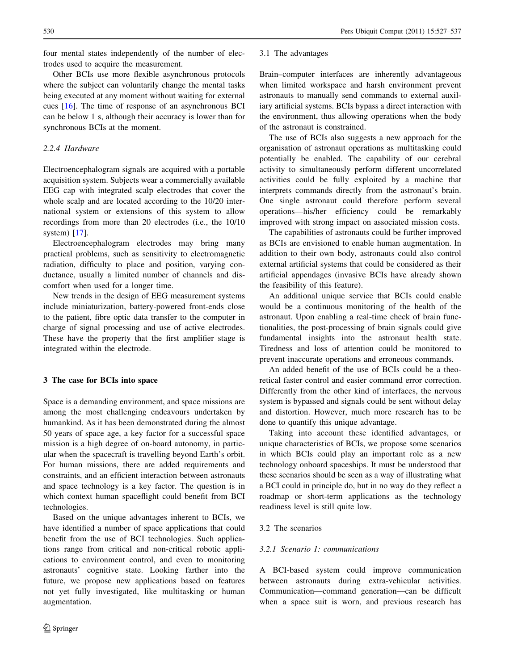<span id="page-3-0"></span>four mental states independently of the number of electrodes used to acquire the measurement.

Other BCIs use more flexible asynchronous protocols where the subject can voluntarily change the mental tasks being executed at any moment without waiting for external cues [\[16](#page-9-0)]. The time of response of an asynchronous BCI can be below 1 s, although their accuracy is lower than for synchronous BCIs at the moment.

# 2.2.4 Hardware

Electroencephalogram signals are acquired with a portable acquisition system. Subjects wear a commercially available EEG cap with integrated scalp electrodes that cover the whole scalp and are located according to the 10/20 international system or extensions of this system to allow recordings from more than 20 electrodes (i.e., the 10/10 system) [[17\]](#page-9-0).

Electroencephalogram electrodes may bring many practical problems, such as sensitivity to electromagnetic radiation, difficulty to place and position, varying conductance, usually a limited number of channels and discomfort when used for a longer time.

New trends in the design of EEG measurement systems include miniaturization, battery-powered front-ends close to the patient, fibre optic data transfer to the computer in charge of signal processing and use of active electrodes. These have the property that the first amplifier stage is integrated within the electrode.

## 3 The case for BCIs into space

Space is a demanding environment, and space missions are among the most challenging endeavours undertaken by humankind. As it has been demonstrated during the almost 50 years of space age, a key factor for a successful space mission is a high degree of on-board autonomy, in particular when the spacecraft is travelling beyond Earth's orbit. For human missions, there are added requirements and constraints, and an efficient interaction between astronauts and space technology is a key factor. The question is in which context human spaceflight could benefit from BCI technologies.

Based on the unique advantages inherent to BCIs, we have identified a number of space applications that could benefit from the use of BCI technologies. Such applications range from critical and non-critical robotic applications to environment control, and even to monitoring astronauts' cognitive state. Looking farther into the future, we propose new applications based on features not yet fully investigated, like multitasking or human augmentation.

## 3.1 The advantages

Brain–computer interfaces are inherently advantageous when limited workspace and harsh environment prevent astronauts to manually send commands to external auxiliary artificial systems. BCIs bypass a direct interaction with the environment, thus allowing operations when the body of the astronaut is constrained.

The use of BCIs also suggests a new approach for the organisation of astronaut operations as multitasking could potentially be enabled. The capability of our cerebral activity to simultaneously perform different uncorrelated activities could be fully exploited by a machine that interprets commands directly from the astronaut's brain. One single astronaut could therefore perform several operations—his/her efficiency could be remarkably improved with strong impact on associated mission costs.

The capabilities of astronauts could be further improved as BCIs are envisioned to enable human augmentation. In addition to their own body, astronauts could also control external artificial systems that could be considered as their artificial appendages (invasive BCIs have already shown the feasibility of this feature).

An additional unique service that BCIs could enable would be a continuous monitoring of the health of the astronaut. Upon enabling a real-time check of brain functionalities, the post-processing of brain signals could give fundamental insights into the astronaut health state. Tiredness and loss of attention could be monitored to prevent inaccurate operations and erroneous commands.

An added benefit of the use of BCIs could be a theoretical faster control and easier command error correction. Differently from the other kind of interfaces, the nervous system is bypassed and signals could be sent without delay and distortion. However, much more research has to be done to quantify this unique advantage.

Taking into account these identified advantages, or unique characteristics of BCIs, we propose some scenarios in which BCIs could play an important role as a new technology onboard spaceships. It must be understood that these scenarios should be seen as a way of illustrating what a BCI could in principle do, but in no way do they reflect a roadmap or short-term applications as the technology readiness level is still quite low.

## 3.2 The scenarios

## 3.2.1 Scenario 1: communications

A BCI-based system could improve communication between astronauts during extra-vehicular activities. Communication—command generation—can be difficult when a space suit is worn, and previous research has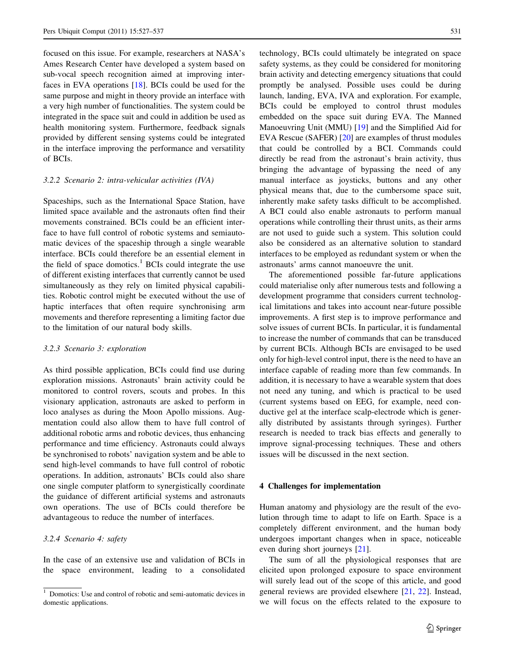focused on this issue. For example, researchers at NASA's Ames Research Center have developed a system based on sub-vocal speech recognition aimed at improving interfaces in EVA operations [[18](#page-9-0)]. BCIs could be used for the same purpose and might in theory provide an interface with a very high number of functionalities. The system could be integrated in the space suit and could in addition be used as health monitoring system. Furthermore, feedback signals provided by different sensing systems could be integrated in the interface improving the performance and versatility of BCIs.

#### 3.2.2 Scenario 2: intra-vehicular activities (IVA)

Spaceships, such as the International Space Station, have limited space available and the astronauts often find their movements constrained. BCIs could be an efficient interface to have full control of robotic systems and semiautomatic devices of the spaceship through a single wearable interface. BCIs could therefore be an essential element in the field of space domotics.<sup>1</sup> BCIs could integrate the use of different existing interfaces that currently cannot be used simultaneously as they rely on limited physical capabilities. Robotic control might be executed without the use of haptic interfaces that often require synchronising arm movements and therefore representing a limiting factor due to the limitation of our natural body skills.

# 3.2.3 Scenario 3: exploration

As third possible application, BCIs could find use during exploration missions. Astronauts' brain activity could be monitored to control rovers, scouts and probes. In this visionary application, astronauts are asked to perform in loco analyses as during the Moon Apollo missions. Augmentation could also allow them to have full control of additional robotic arms and robotic devices, thus enhancing performance and time efficiency. Astronauts could always be synchronised to robots' navigation system and be able to send high-level commands to have full control of robotic operations. In addition, astronauts' BCIs could also share one single computer platform to synergistically coordinate the guidance of different artificial systems and astronauts own operations. The use of BCIs could therefore be advantageous to reduce the number of interfaces.

### 3.2.4 Scenario 4: safety

In the case of an extensive use and validation of BCIs in the space environment, leading to a consolidated technology, BCIs could ultimately be integrated on space safety systems, as they could be considered for monitoring brain activity and detecting emergency situations that could promptly be analysed. Possible uses could be during launch, landing, EVA, IVA and exploration. For example, BCIs could be employed to control thrust modules embedded on the space suit during EVA. The Manned Manoeuvring Unit (MMU) [\[19](#page-9-0)] and the Simplified Aid for EVA Rescue (SAFER) [[20\]](#page-9-0) are examples of thrust modules that could be controlled by a BCI. Commands could directly be read from the astronaut's brain activity, thus bringing the advantage of bypassing the need of any manual interface as joysticks, buttons and any other physical means that, due to the cumbersome space suit, inherently make safety tasks difficult to be accomplished. A BCI could also enable astronauts to perform manual operations while controlling their thrust units, as their arms are not used to guide such a system. This solution could also be considered as an alternative solution to standard interfaces to be employed as redundant system or when the astronauts' arms cannot manoeuvre the unit.

The aforementioned possible far-future applications could materialise only after numerous tests and following a development programme that considers current technological limitations and takes into account near-future possible improvements. A first step is to improve performance and solve issues of current BCIs. In particular, it is fundamental to increase the number of commands that can be transduced by current BCIs. Although BCIs are envisaged to be used only for high-level control input, there is the need to have an interface capable of reading more than few commands. In addition, it is necessary to have a wearable system that does not need any tuning, and which is practical to be used (current systems based on EEG, for example, need conductive gel at the interface scalp-electrode which is generally distributed by assistants through syringes). Further research is needed to track bias effects and generally to improve signal-processing techniques. These and others issues will be discussed in the next section.

#### 4 Challenges for implementation

Human anatomy and physiology are the result of the evolution through time to adapt to life on Earth. Space is a completely different environment, and the human body undergoes important changes when in space, noticeable even during short journeys [\[21](#page-9-0)].

The sum of all the physiological responses that are elicited upon prolonged exposure to space environment will surely lead out of the scope of this article, and good general reviews are provided elsewhere [[21,](#page-9-0) [22](#page-9-0)]. Instead, we will focus on the effects related to the exposure to

<sup>1</sup> Domotics: Use and control of robotic and semi-automatic devices in domestic applications.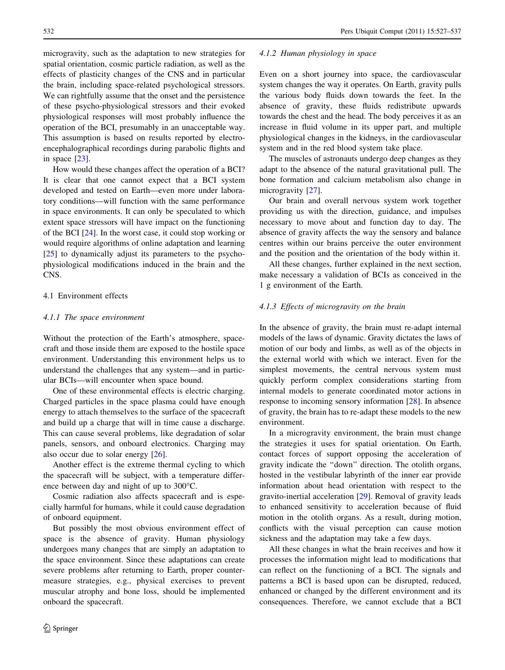microgravity, such as the adaptation to new strategies for spatial orientation, cosmic particle radiation, as well as the effects of plasticity changes of the CNS and in particular the brain, including space-related psychological stressors. We can rightfully assume that the onset and the persistence of these psycho-physiological stressors and their evoked physiological responses will most probably influence the operation of the BCI, presumably in an unacceptable way. This assumption is based on results reported by electroencephalographical recordings during parabolic flights and in space [\[23](#page-9-0)].

How would these changes affect the operation of a BCI? It is clear that one cannot expect that a BCI system developed and tested on Earth—even more under laboratory conditions—will function with the same performance in space environments. It can only be speculated to which extent space stressors will have impact on the functioning of the BCI [[24\]](#page-9-0). In the worst case, it could stop working or would require algorithms of online adaptation and learning [\[25](#page-10-0)] to dynamically adjust its parameters to the psychophysiological modifications induced in the brain and the CNS.

# 4.1 Environment effects

## 4.1.1 The space environment

Without the protection of the Earth's atmosphere, spacecraft and those inside them are exposed to the hostile space environment. Understanding this environment helps us to understand the challenges that any system—and in particular BCIs—will encounter when space bound.

One of these environmental effects is electric charging. Charged particles in the space plasma could have enough energy to attach themselves to the surface of the spacecraft and build up a charge that will in time cause a discharge. This can cause several problems, like degradation of solar panels, sensors, and onboard electronics. Charging may also occur due to solar energy [[26\]](#page-10-0).

Another effect is the extreme thermal cycling to which the spacecraft will be subject, with a temperature difference between day and night of up to  $300^{\circ}$ C.

Cosmic radiation also affects spacecraft and is especially harmful for humans, while it could cause degradation of onboard equipment.

But possibly the most obvious environment effect of space is the absence of gravity. Human physiology undergoes many changes that are simply an adaptation to the space environment. Since these adaptations can create severe problems after returning to Earth, proper countermeasure strategies, e.g., physical exercises to prevent muscular atrophy and bone loss, should be implemented onboard the spacecraft.

#### 4.1.2 Human physiology in space

Even on a short journey into space, the cardiovascular system changes the way it operates. On Earth, gravity pulls the various body fluids down towards the feet. In the absence of gravity, these fluids redistribute upwards towards the chest and the head. The body perceives it as an increase in fluid volume in its upper part, and multiple physiological changes in the kidneys, in the cardiovascular system and in the red blood system take place.

The muscles of astronauts undergo deep changes as they adapt to the absence of the natural gravitational pull. The bone formation and calcium metabolism also change in microgravity [[27\]](#page-10-0).

Our brain and overall nervous system work together providing us with the direction, guidance, and impulses necessary to move about and function day to day. The absence of gravity affects the way the sensory and balance centres within our brains perceive the outer environment and the position and the orientation of the body within it.

All these changes, further explained in the next section, make necessary a validation of BCIs as conceived in the 1 g environment of the Earth.

# 4.1.3 Effects of microgravity on the brain

In the absence of gravity, the brain must re-adapt internal models of the laws of dynamic. Gravity dictates the laws of motion of our body and limbs, as well as of the objects in the external world with which we interact. Even for the simplest movements, the central nervous system must quickly perform complex considerations starting from internal models to generate coordinated motor actions in response to incoming sensory information [[28](#page-10-0)]. In absence of gravity, the brain has to re-adapt these models to the new environment.

In a microgravity environment, the brain must change the strategies it uses for spatial orientation. On Earth, contact forces of support opposing the acceleration of gravity indicate the ''down'' direction. The otolith organs, hosted in the vestibular labyrinth of the inner ear provide information about head orientation with respect to the gravito-inertial acceleration [[29\]](#page-10-0). Removal of gravity leads to enhanced sensitivity to acceleration because of fluid motion in the otolith organs. As a result, during motion, conflicts with the visual perception can cause motion sickness and the adaptation may take a few days.

All these changes in what the brain receives and how it processes the information might lead to modifications that can reflect on the functioning of a BCI. The signals and patterns a BCI is based upon can be disrupted, reduced, enhanced or changed by the different environment and its consequences. Therefore, we cannot exclude that a BCI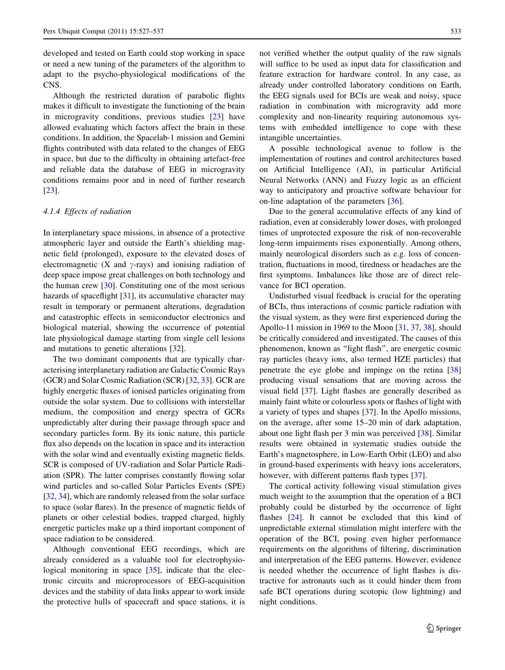developed and tested on Earth could stop working in space or need a new tuning of the parameters of the algorithm to adapt to the psycho-physiological modifications of the CNS.

Although the restricted duration of parabolic flights makes it difficult to investigate the functioning of the brain in microgravity conditions, previous studies [[23\]](#page-9-0) have allowed evaluating which factors affect the brain in these conditions. In addition, the Spacelab-1 mission and Gemini flights contributed with data related to the changes of EEG in space, but due to the difficulty in obtaining artefact-free and reliable data the database of EEG in microgravity conditions remains poor and in need of further research [\[23](#page-9-0)].

## 4.1.4 Effects of radiation

In interplanetary space missions, in absence of a protective atmospheric layer and outside the Earth's shielding magnetic field (prolonged), exposure to the elevated doses of electromagnetic (X and  $\gamma$ -rays) and ionising radiation of deep space impose great challenges on both technology and the human crew  $[30]$  $[30]$ . Constituting one of the most serious hazards of spaceflight [[31\]](#page-10-0), its accumulative character may result in temporary or permanent alterations, degradation and catastrophic effects in semiconductor electronics and biological material, showing the occurrence of potential late physiological damage starting from single cell lesions and mutations to genetic alterations [[32\]](#page-10-0).

The two dominant components that are typically characterising interplanetary radiation are Galactic Cosmic Rays (GCR) and Solar Cosmic Radiation (SCR) [[32,](#page-10-0) [33](#page-10-0)]. GCR are highly energetic fluxes of ionised particles originating from outside the solar system. Due to collisions with interstellar medium, the composition and energy spectra of GCRs unpredictably alter during their passage through space and secondary particles form. By its ionic nature, this particle flux also depends on the location in space and its interaction with the solar wind and eventually existing magnetic fields. SCR is composed of UV-radiation and Solar Particle Radiation (SPR). The latter comprises constantly flowing solar wind particles and so-called Solar Particles Events (SPE) [\[32](#page-10-0), [34\]](#page-10-0), which are randomly released from the solar surface to space (solar flares). In the presence of magnetic fields of planets or other celestial bodies, trapped charged, highly energetic particles make up a third important component of space radiation to be considered.

Although conventional EEG recordings, which are already considered as a valuable tool for electrophysio-logical monitoring in space [\[35](#page-10-0)], indicate that the electronic circuits and microprocessors of EEG-acquisition devices and the stability of data links appear to work inside the protective hulls of spacecraft and space stations, it is not verified whether the output quality of the raw signals will suffice to be used as input data for classification and feature extraction for hardware control. In any case, as already under controlled laboratory conditions on Earth, the EEG signals used for BCIs are weak and noisy, space radiation in combination with microgravity add more complexity and non-linearity requiring autonomous systems with embedded intelligence to cope with these intangible uncertainties.

A possible technological avenue to follow is the implementation of routines and control architectures based on Artificial Intelligence (AI), in particular Artificial Neural Networks (ANN) and Fuzzy logic as an efficient way to anticipatory and proactive software behaviour for on-line adaptation of the parameters [[36\]](#page-10-0).

Due to the general accumulative effects of any kind of radiation, even at considerably lower doses, with prolonged times of unprotected exposure the risk of non-recoverable long-term impairments rises exponentially. Among others, mainly neurological disorders such as e.g. loss of concentration, fluctuations in mood, tiredness or headaches are the first symptoms. Imbalances like those are of direct relevance for BCI operation.

Undisturbed visual feedback is crucial for the operating of BCIs, thus interactions of cosmic particle radiation with the visual system, as they were first experienced during the Apollo-11 mission in 1969 to the Moon [[31,](#page-10-0) [37,](#page-10-0) [38](#page-10-0)], should be critically considered and investigated. The causes of this phenomenon, known as ''light flash'', are energetic cosmic ray particles (heavy ions, also termed HZE particles) that penetrate the eye globe and impinge on the retina [[38\]](#page-10-0) producing visual sensations that are moving across the visual field [\[37](#page-10-0)]. Light flashes are generally described as mainly faint white or colourless spots or flashes of light with a variety of types and shapes [[37\]](#page-10-0). In the Apollo missions, on the average, after some 15–20 min of dark adaptation, about one light flash per 3 min was perceived [\[38](#page-10-0)]. Similar results were obtained in systematic studies outside the Earth's magnetosphere, in Low-Earth Orbit (LEO) and also in ground-based experiments with heavy ions accelerators, however, with different patterns flash types [\[37](#page-10-0)].

The cortical activity following visual stimulation gives much weight to the assumption that the operation of a BCI probably could be disturbed by the occurrence of light flashes [\[24](#page-9-0)]. It cannot be excluded that this kind of unpredictable external stimulation might interfere with the operation of the BCI, posing even higher performance requirements on the algorithms of filtering, discrimination and interpretation of the EEG patterns. However, evidence is needed whether the occurrence of light flashes is distractive for astronauts such as it could hinder them from safe BCI operations during scotopic (low lightning) and night conditions.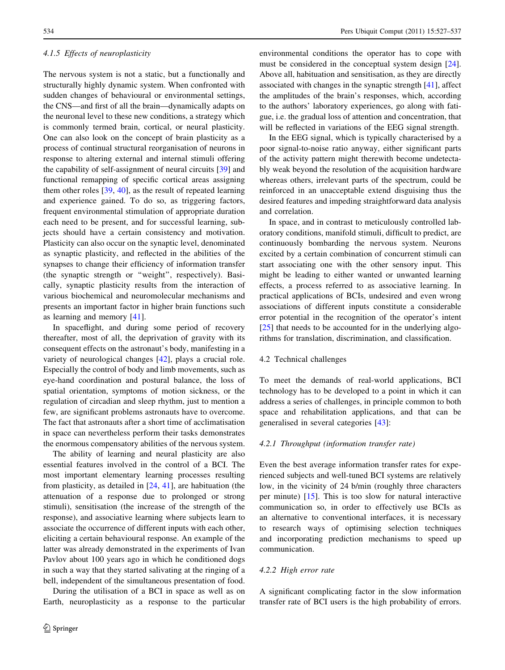#### 4.1.5 Effects of neuroplasticity

The nervous system is not a static, but a functionally and structurally highly dynamic system. When confronted with sudden changes of behavioural or environmental settings, the CNS—and first of all the brain—dynamically adapts on the neuronal level to these new conditions, a strategy which is commonly termed brain, cortical, or neural plasticity. One can also look on the concept of brain plasticity as a process of continual structural reorganisation of neurons in response to altering external and internal stimuli offering the capability of self-assignment of neural circuits [[39\]](#page-10-0) and functional remapping of specific cortical areas assigning them other roles [[39,](#page-10-0) [40](#page-10-0)], as the result of repeated learning and experience gained. To do so, as triggering factors, frequent environmental stimulation of appropriate duration each need to be present, and for successful learning, subjects should have a certain consistency and motivation. Plasticity can also occur on the synaptic level, denominated as synaptic plasticity, and reflected in the abilities of the synapses to change their efficiency of information transfer (the synaptic strength or ''weight'', respectively). Basically, synaptic plasticity results from the interaction of various biochemical and neuromolecular mechanisms and presents an important factor in higher brain functions such as learning and memory [[41\]](#page-10-0).

In spaceflight, and during some period of recovery thereafter, most of all, the deprivation of gravity with its consequent effects on the astronaut's body, manifesting in a variety of neurological changes [[42\]](#page-10-0), plays a crucial role. Especially the control of body and limb movements, such as eye-hand coordination and postural balance, the loss of spatial orientation, symptoms of motion sickness, or the regulation of circadian and sleep rhythm, just to mention a few, are significant problems astronauts have to overcome. The fact that astronauts after a short time of acclimatisation in space can nevertheless perform their tasks demonstrates the enormous compensatory abilities of the nervous system.

The ability of learning and neural plasticity are also essential features involved in the control of a BCI. The most important elementary learning processes resulting from plasticity, as detailed in [[24,](#page-9-0) [41](#page-10-0)], are habituation (the attenuation of a response due to prolonged or strong stimuli), sensitisation (the increase of the strength of the response), and associative learning where subjects learn to associate the occurrence of different inputs with each other, eliciting a certain behavioural response. An example of the latter was already demonstrated in the experiments of Ivan Pavlov about 100 years ago in which he conditioned dogs in such a way that they started salivating at the ringing of a bell, independent of the simultaneous presentation of food.

During the utilisation of a BCI in space as well as on Earth, neuroplasticity as a response to the particular environmental conditions the operator has to cope with must be considered in the conceptual system design [\[24](#page-9-0)]. Above all, habituation and sensitisation, as they are directly associated with changes in the synaptic strength [\[41](#page-10-0)], affect the amplitudes of the brain's responses, which, according to the authors' laboratory experiences, go along with fatigue, i.e. the gradual loss of attention and concentration, that will be reflected in variations of the EEG signal strength.

In the EEG signal, which is typically characterised by a poor signal-to-noise ratio anyway, either significant parts of the activity pattern might therewith become undetectably weak beyond the resolution of the acquisition hardware whereas others, irrelevant parts of the spectrum, could be reinforced in an unacceptable extend disguising thus the desired features and impeding straightforward data analysis and correlation.

In space, and in contrast to meticulously controlled laboratory conditions, manifold stimuli, difficult to predict, are continuously bombarding the nervous system. Neurons excited by a certain combination of concurrent stimuli can start associating one with the other sensory input. This might be leading to either wanted or unwanted learning effects, a process referred to as associative learning. In practical applications of BCIs, undesired and even wrong associations of different inputs constitute a considerable error potential in the recognition of the operator's intent [\[25](#page-10-0)] that needs to be accounted for in the underlying algorithms for translation, discrimination, and classification.

## 4.2 Technical challenges

To meet the demands of real-world applications, BCI technology has to be developed to a point in which it can address a series of challenges, in principle common to both space and rehabilitation applications, and that can be generalised in several categories [\[43](#page-10-0)]:

## 4.2.1 Throughput (information transfer rate)

Even the best average information transfer rates for experienced subjects and well-tuned BCI systems are relatively low, in the vicinity of 24 b/min (roughly three characters per minute) [[15\]](#page-9-0). This is too slow for natural interactive communication so, in order to effectively use BCIs as an alternative to conventional interfaces, it is necessary to research ways of optimising selection techniques and incorporating prediction mechanisms to speed up communication.

## 4.2.2 High error rate

A significant complicating factor in the slow information transfer rate of BCI users is the high probability of errors.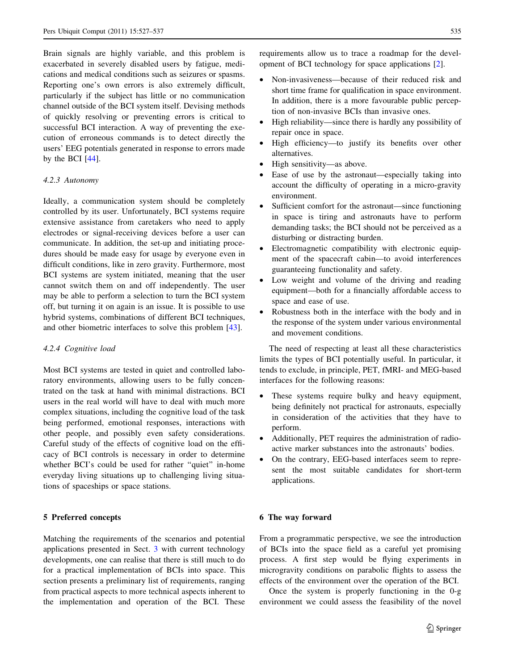Brain signals are highly variable, and this problem is exacerbated in severely disabled users by fatigue, medications and medical conditions such as seizures or spasms. Reporting one's own errors is also extremely difficult, particularly if the subject has little or no communication channel outside of the BCI system itself. Devising methods of quickly resolving or preventing errors is critical to successful BCI interaction. A way of preventing the execution of erroneous commands is to detect directly the users' EEG potentials generated in response to errors made by the BCI [\[44](#page-10-0)].

#### 4.2.3 Autonomy

Ideally, a communication system should be completely controlled by its user. Unfortunately, BCI systems require extensive assistance from caretakers who need to apply electrodes or signal-receiving devices before a user can communicate. In addition, the set-up and initiating procedures should be made easy for usage by everyone even in difficult conditions, like in zero gravity. Furthermore, most BCI systems are system initiated, meaning that the user cannot switch them on and off independently. The user may be able to perform a selection to turn the BCI system off, but turning it on again is an issue. It is possible to use hybrid systems, combinations of different BCI techniques, and other biometric interfaces to solve this problem [\[43](#page-10-0)].

## 4.2.4 Cognitive load

Most BCI systems are tested in quiet and controlled laboratory environments, allowing users to be fully concentrated on the task at hand with minimal distractions. BCI users in the real world will have to deal with much more complex situations, including the cognitive load of the task being performed, emotional responses, interactions with other people, and possibly even safety considerations. Careful study of the effects of cognitive load on the efficacy of BCI controls is necessary in order to determine whether BCI's could be used for rather "quiet" in-home everyday living situations up to challenging living situations of spaceships or space stations.

#### 5 Preferred concepts

Matching the requirements of the scenarios and potential applications presented in Sect. [3](#page-3-0) with current technology developments, one can realise that there is still much to do for a practical implementation of BCIs into space. This section presents a preliminary list of requirements, ranging from practical aspects to more technical aspects inherent to the implementation and operation of the BCI. These requirements allow us to trace a roadmap for the development of BCI technology for space applications [[2\]](#page-9-0).

- Non-invasiveness—because of their reduced risk and short time frame for qualification in space environment. In addition, there is a more favourable public perception of non-invasive BCIs than invasive ones.
- High reliability—since there is hardly any possibility of repair once in space.
- High efficiency—to justify its benefits over other alternatives.
- High sensitivity—as above.
- Ease of use by the astronaut—especially taking into account the difficulty of operating in a micro-gravity environment.
- Sufficient comfort for the astronaut—since functioning in space is tiring and astronauts have to perform demanding tasks; the BCI should not be perceived as a disturbing or distracting burden.
- Electromagnetic compatibility with electronic equipment of the spacecraft cabin—to avoid interferences guaranteeing functionality and safety.
- Low weight and volume of the driving and reading equipment—both for a financially affordable access to space and ease of use.
- Robustness both in the interface with the body and in the response of the system under various environmental and movement conditions.

The need of respecting at least all these characteristics limits the types of BCI potentially useful. In particular, it tends to exclude, in principle, PET, fMRI- and MEG-based interfaces for the following reasons:

- These systems require bulky and heavy equipment, being definitely not practical for astronauts, especially in consideration of the activities that they have to perform.
- Additionally, PET requires the administration of radioactive marker substances into the astronauts' bodies.
- On the contrary, EEG-based interfaces seem to represent the most suitable candidates for short-term applications.

### 6 The way forward

From a programmatic perspective, we see the introduction of BCIs into the space field as a careful yet promising process. A first step would be flying experiments in microgravity conditions on parabolic flights to assess the effects of the environment over the operation of the BCI.

Once the system is properly functioning in the 0-g environment we could assess the feasibility of the novel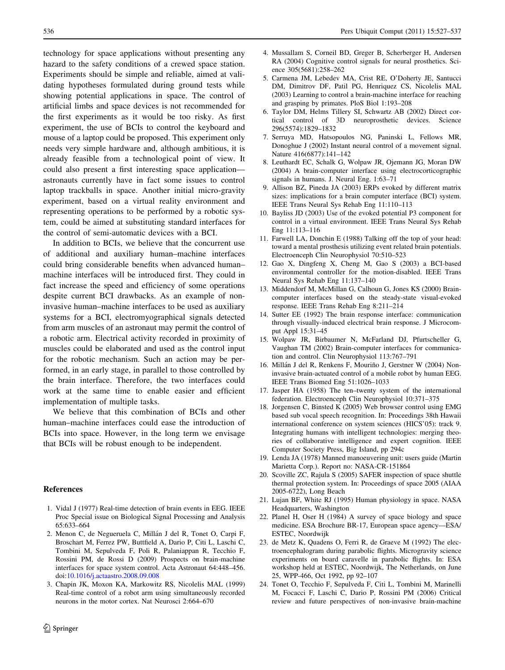<span id="page-9-0"></span>technology for space applications without presenting any hazard to the safety conditions of a crewed space station. Experiments should be simple and reliable, aimed at validating hypotheses formulated during ground tests while showing potential applications in space. The control of artificial limbs and space devices is not recommended for the first experiments as it would be too risky. As first experiment, the use of BCIs to control the keyboard and mouse of a laptop could be proposed. This experiment only needs very simple hardware and, although ambitious, it is already feasible from a technological point of view. It could also present a first interesting space application astronauts currently have in fact some issues to control laptop trackballs in space. Another initial micro-gravity experiment, based on a virtual reality environment and representing operations to be performed by a robotic system, could be aimed at substituting standard interfaces for the control of semi-automatic devices with a BCI.

In addition to BCIs, we believe that the concurrent use of additional and auxiliary human–machine interfaces could bring considerable benefits when advanced human– machine interfaces will be introduced first. They could in fact increase the speed and efficiency of some operations despite current BCI drawbacks. As an example of noninvasive human–machine interfaces to be used as auxiliary systems for a BCI, electromyographical signals detected from arm muscles of an astronaut may permit the control of a robotic arm. Electrical activity recorded in proximity of muscles could be elaborated and used as the control input for the robotic mechanism. Such an action may be performed, in an early stage, in parallel to those controlled by the brain interface. Therefore, the two interfaces could work at the same time to enable easier and efficient implementation of multiple tasks.

We believe that this combination of BCIs and other human–machine interfaces could ease the introduction of BCIs into space. However, in the long term we envisage that BCIs will be robust enough to be independent.

## References

- 1. Vidal J (1977) Real-time detection of brain events in EEG. IEEE Proc Special issue on Biological Signal Processing and Analysis 65:633–664
- 2. Menon C, de Negueruela C, Millán J del R, Tonet O, Carpi F, Broschart M, Ferrez PW, Buttfield A, Dario P, Citi L, Laschi C, Tombini M, Sepulveda F, Poli R, Palaniappan R, Tecchio F, Rossini PM, de Rossi D (2009) Prospects on brain-machine interfaces for space system control. Acta Astronaut 64:448–456. doi:[10.1016/j.actaastro.2008.09.008](http://dx.doi.org/10.1016/j.actaastro.2008.09.008)
- 3. Chapin JK, Moxon KA, Markowitz RS, Nicolelis MAL (1999) Real-time control of a robot arm using simultaneously recorded neurons in the motor cortex. Nat Neurosci 2:664–670
- 4. Mussallam S, Corneil BD, Greger B, Scherberger H, Andersen RA (2004) Cognitive control signals for neural prosthetics. Science 305(5681):258–262
- 5. Carmena JM, Lebedev MA, Crist RE, O'Doherty JE, Santucci DM, Dimitrov DF, Patil PG, Henriquez CS, Nicolelis MAL (2003) Learning to control a brain-machine interface for reaching and grasping by primates. PloS Biol 1:193–208
- 6. Taylor DM, Helms Tillery SI, Schwartz AB (2002) Direct cortical control of 3D neuroprosthetic devices. Science 296(5574):1829–1832
- 7. Serruya MD, Hatsopoulos NG, Paninski L, Fellows MR, Donoghue J (2002) Instant neural control of a movement signal. Nature 416(6877):141–142
- 8. Leuthardt EC, Schalk G, Wolpaw JR, Ojemann JG, Moran DW (2004) A brain-computer interface using electrocorticographic signals in humans. J. Neural Eng. 1:63–71
- 9. Allison BZ, Pineda JA (2003) ERPs evoked by different matrix sizes: implications for a brain computer interface (BCI) system. IEEE Trans Neural Sys Rehab Eng 11:110–113
- 10. Bayliss JD (2003) Use of the evoked potential P3 component for control in a virtual environment. IEEE Trans Neural Sys Rehab Eng 11:113–116
- 11. Farwell LA, Donchin E (1988) Talking off the top of your head: toward a mental prosthesis utilizing event related brain potentials. Electroenceph Clin Neurophysiol 70:510–523
- 12. Gao X, Dingfeng X, Cheng M, Gao S (2003) a BCI-based environmental controller for the motion-disabled. IEEE Trans Neural Sys Rehab Eng 11:137–140
- 13. Middendorf M, McMillan G, Calhoun G, Jones KS (2000) Braincomputer interfaces based on the steady-state visual-evoked response. IEEE Trans Rehab Eng 8:211–214
- 14. Sutter EE (1992) The brain response interface: communication through visually-induced electrical brain response. J Microcomput Appl 15:31–45
- 15. Wolpaw JR, Birbaumer N, McFarland DJ, Pfurtscheller G, Vaughan TM (2002) Brain-computer interfaces for communication and control. Clin Neurophysiol 113:767–791
- 16. Millán J del R, Renkens F, Mouriño J, Gerstner W (2004) Noninvasive brain-actuated control of a mobile robot by human EEG. IEEE Trans Biomed Eng 51:1026–1033
- 17. Jasper HA (1958) The ten–twenty system of the international federation. Electroenceph Clin Neurophysiol 10:371–375
- 18. Jorgensen C, Binsted K (2005) Web browser control using EMG based sub vocal speech recognition. In: Proceedings 38th Hawaii international conference on system sciences (HICS'05): track 9. Integrating humans with intelligent technologies: merging theories of collaborative intelligence and expert cognition. IEEE Computer Society Press, Big Island, pp 294c
- 19. Lenda JA (1978) Manned manoeuvering unit: users guide (Martin Marietta Corp.). Report no: NASA-CR-151864
- 20. Scoville ZC, Rajula S (2005) SAFER inspection of space shuttle thermal protection system. In: Proceedings of space 2005 (AIAA 2005-6722), Long Beach
- 21. Lujan BF, White RJ (1995) Human physiology in space. NASA Headquarters, Washington
- 22. Planel H, Oser H (1984) A survey of space biology and space medicine. ESA Brochure BR-17, European space agency—ESA/ ESTEC, Noordwijk
- 23. de Metz K, Quadens O, Ferri R, de Graeve M (1992) The electroencephalogram during parabolic flights. Microgravity science experiments on board caravelle in parabolic flights. In: ESA workshop held at ESTEC, Noordwijk, The Netherlands, on June 25, WPP-466, Oct 1992, pp 92–107
- 24. Tonet O, Tecchio F, Sepulveda F, Citi L, Tombini M, Marinelli M, Focacci F, Laschi C, Dario P, Rossini PM (2006) Critical review and future perspectives of non-invasive brain-machine